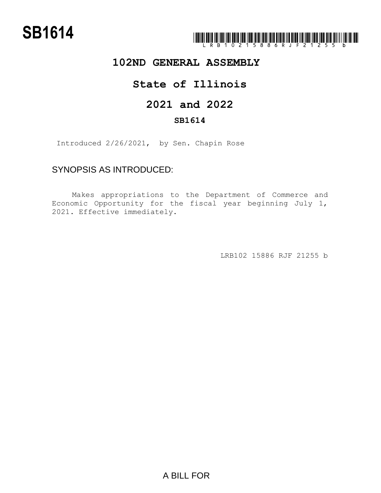### **102ND GENERAL ASSEMBLY**

# **State of Illinois**

## **2021 and 2022**

#### **SB1614**

Introduced 2/26/2021, by Sen. Chapin Rose

## SYNOPSIS AS INTRODUCED:

Makes appropriations to the Department of Commerce and Economic Opportunity for the fiscal year beginning July 1, 2021. Effective immediately.

LRB102 15886 RJF 21255 b